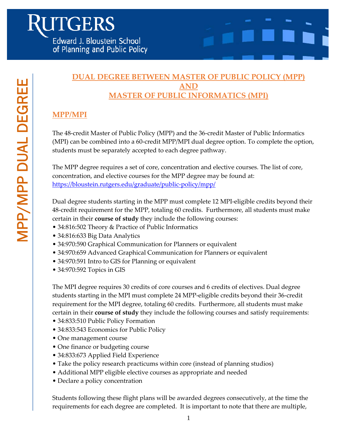### **DUAL DEGREE BETWEEN MASTER OF PUBLIC POLICY (MPP) AND MASTER OF PUBLIC INFORMATICS (MPI)**

## **MPP/MPI**

The 48-credit Master of Public Policy (MPP) and the 36-credit Master of Public Informatics (MPI) can be combined into a 60-credit MPP/MPI dual degree option. To complete the option, students must be separately accepted to each degree pathway.

The MPP degree requires a set of core, concentration and elective courses. The list of core, concentration, and elective courses for the MPP degree may be found at: https://bloustein.rutgers.edu/graduate/public-policy/mpp/

Dual degree students starting in the MPP must complete 12 MPI-eligible credits beyond their 48-credit requirement for the MPP, totaling 60 credits. Furthermore, all students must make certain in their **course of study** they include the following courses:

- 34:816:502 Theory & Practice of Public Informatics
- 34:816:633 Big Data Analytics
- 34:970:590 Graphical Communication for Planners or equivalent
- 34:970:659 Advanced Graphical Communication for Planners or equivalent
- 34:970:591 Intro to GIS for Planning or equivalent
- 34:970:592 Topics in GIS

The MPI degree requires 30 credits of core courses and 6 credits of electives. Dual degree students starting in the MPI must complete 24 MPP-eligible credits beyond their 36-credit requirement for the MPI degree, totaling 60 credits. Furthermore, all students must make certain in their **course of study** they include the following courses and satisfy requirements:

- 34:833:510 Public Policy Formation
- 34:833:543 Economics for Public Policy
- One management course
- One finance or budgeting course
- 34:833:673 Applied Field Experience
- Take the policy research practicums within core (instead of planning studios)
- Additional MPP eligible elective courses as appropriate and needed
- Declare a policy concentration

Students following these flight plans will be awarded degrees consecutively, at the time the requirements for each degree are completed. It is important to note that there are multiple,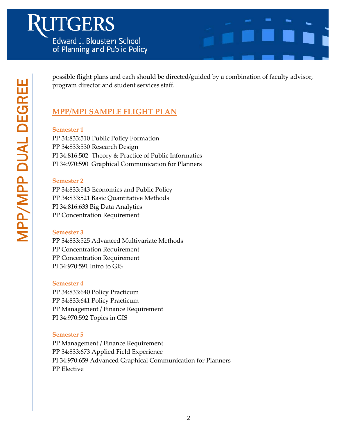# **JTGERS** Edward J. Bloustein School of Planning and Public Policy



possible flight plans and each should be directed/guided by a combination of faculty advisor, program director and student services staff.

## **MPP/MPI SAMPLE FLIGHT PLAN**

#### **Semester 1**

PP 34:833:510 Public Policy Formation PP 34:833:530 Research Design PI 34:816:502 Theory & Practice of Public Informatics PI 34:970:590 Graphical Communication for Planners

#### **Semester 2**

PP 34:833:543 Economics and Public Policy PP 34:833:521 Basic Quantitative Methods PI 34:816:633 Big Data Analytics PP Concentration Requirement

#### **Semester 3**

PP 34:833:525 Advanced Multivariate Methods PP Concentration Requirement PP Concentration Requirement PI 34:970:591 Intro to GIS

#### **Semester 4**

PP 34:833:640 Policy Practicum PP 34:833:641 Policy Practicum PP Management / Finance Requirement PI 34:970:592 Topics in GIS

#### **Semester 5**

PP Management / Finance Requirement PP 34:833:673 Applied Field Experience PI 34:970:659 Advanced Graphical Communication for Planners PP Elective